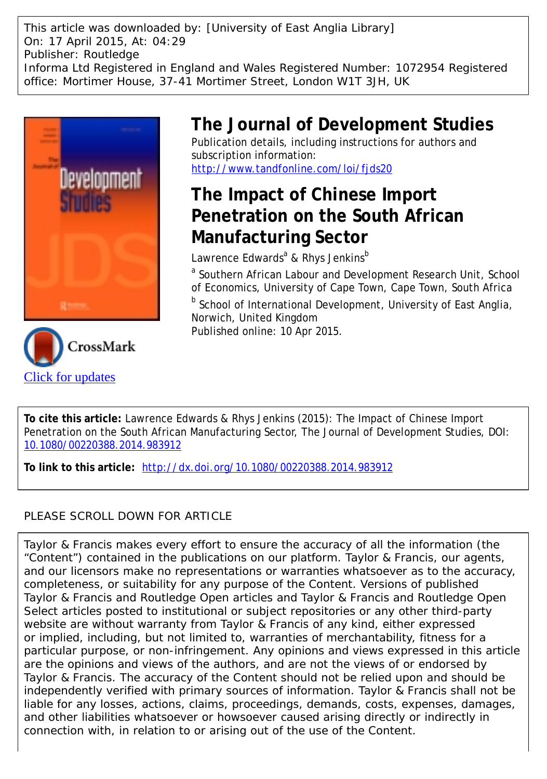This article was downloaded by: [University of East Anglia Library] On: 17 April 2015, At: 04:29 Publisher: Routledge Informa Ltd Registered in England and Wales Registered Number: 1072954 Registered office: Mortimer House, 37-41 Mortimer Street, London W1T 3JH, UK





# **The Journal of Development Studies**

Publication details, including instructions for authors and subscription information: <http://www.tandfonline.com/loi/fjds20>

# **The Impact of Chinese Import Penetration on the South African Manufacturing Sector**

Lawrence Edwards<sup>a</sup> & Rhys Jenkins<sup>b</sup>

<sup>a</sup> Southern African Labour and Development Research Unit, School of Economics, University of Cape Town, Cape Town, South Africa

**b** School of International Development, University of East Anglia, Norwich, United Kingdom

Published online: 10 Apr 2015.

**To cite this article:** Lawrence Edwards & Rhys Jenkins (2015): The Impact of Chinese Import Penetration on the South African Manufacturing Sector, The Journal of Development Studies, DOI: [10.1080/00220388.2014.983912](http://www.tandfonline.com/action/showCitFormats?doi=10.1080/00220388.2014.983912)

**To link to this article:** <http://dx.doi.org/10.1080/00220388.2014.983912>

# PLEASE SCROLL DOWN FOR ARTICLE

Taylor & Francis makes every effort to ensure the accuracy of all the information (the "Content") contained in the publications on our platform. Taylor & Francis, our agents, and our licensors make no representations or warranties whatsoever as to the accuracy, completeness, or suitability for any purpose of the Content. Versions of published Taylor & Francis and Routledge Open articles and Taylor & Francis and Routledge Open Select articles posted to institutional or subject repositories or any other third-party website are without warranty from Taylor & Francis of any kind, either expressed or implied, including, but not limited to, warranties of merchantability, fitness for a particular purpose, or non-infringement. Any opinions and views expressed in this article are the opinions and views of the authors, and are not the views of or endorsed by Taylor & Francis. The accuracy of the Content should not be relied upon and should be independently verified with primary sources of information. Taylor & Francis shall not be liable for any losses, actions, claims, proceedings, demands, costs, expenses, damages, and other liabilities whatsoever or howsoever caused arising directly or indirectly in connection with, in relation to or arising out of the use of the Content.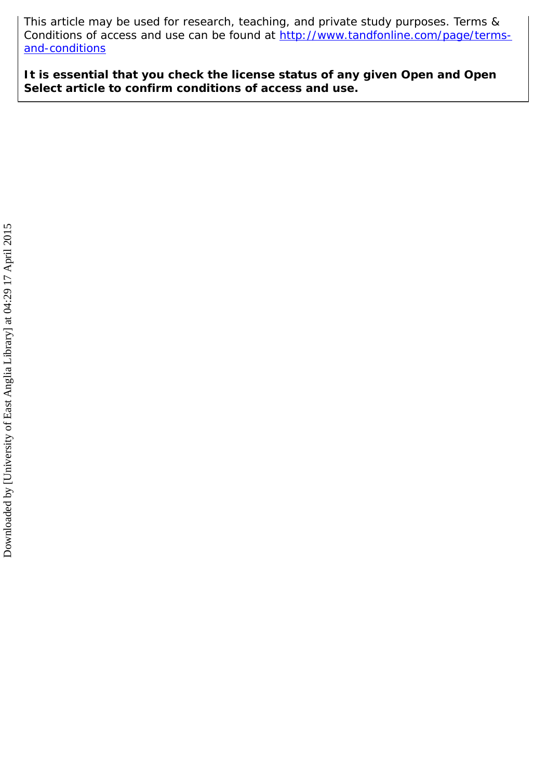This article may be used for research, teaching, and private study purposes. Terms & Conditions of access and use can be found at [http://www.tandfonline.com/page/terms](http://www.tandfonline.com/page/terms-and-conditions)[and-conditions](http://www.tandfonline.com/page/terms-and-conditions)

**It is essential that you check the license status of any given Open and Open Select article to confirm conditions of access and use.**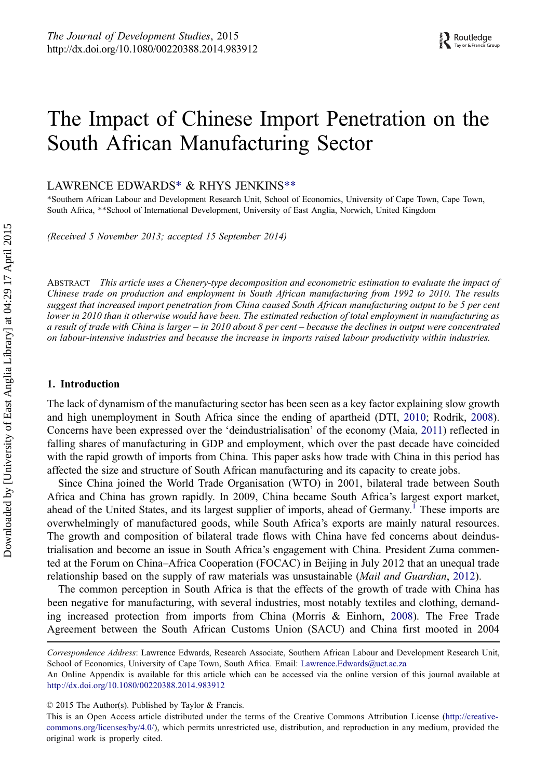# The Impact of Chinese Import Penetration on the South African Manufacturing Sector

LAWRENCE EDWARDS\* & RHYS JENKINS\*\*

\*Southern African Labour and Development Research Unit, School of Economics, University of Cape Town, Cape Town, South Africa, \*\*School of International Development, University of East Anglia, Norwich, United Kingdom

(Received 5 November 2013; accepted 15 September 2014)

ABSTRACT This article uses a Chenery-type decomposition and econometric estimation to evaluate the impact of Chinese trade on production and employment in South African manufacturing from 1992 to 2010. The results suggest that increased import penetration from China caused South African manufacturing output to be 5 per cent lower in 2010 than it otherwise would have been. The estimated reduction of total employment in manufacturing as a result of trade with China is larger – in 2010 about 8 per cent – because the declines in output were concentrated on labour-intensive industries and because the increase in imports raised labour productivity within industries.

#### 1. Introduction

The lack of dynamism of the manufacturing sector has been seen as a key factor explaining slow growth and high unemployment in South Africa since the ending of apartheid (DTI, [2010](#page-17-0); Rodrik, [2008\)](#page-18-0). Concerns have been expressed over the 'deindustrialisation' of the economy (Maia, [2011\)](#page-17-0) reflected in falling shares of manufacturing in GDP and employment, which over the past decade have coincided with the rapid growth of imports from China. This paper asks how trade with China in this period has affected the size and structure of South African manufacturing and its capacity to create jobs.

Since China joined the World Trade Organisation (WTO) in 2001, bilateral trade between South Africa and China has grown rapidly. In 2009, China became South Africa's largest export market, ahead of the United States, and its largest supplier of imports, ahead of Germany.<sup>[1](#page-15-0)</sup> These imports are overwhelmingly of manufactured goods, while South Africa's exports are mainly natural resources. The growth and composition of bilateral trade flows with China have fed concerns about deindustrialisation and become an issue in South Africa's engagement with China. President Zuma commented at the Forum on China–Africa Cooperation (FOCAC) in Beijing in July 2012 that an unequal trade relationship based on the supply of raw materials was unsustainable (Mail and Guardian, [2012\)](#page-17-0).

The common perception in South Africa is that the effects of the growth of trade with China has been negative for manufacturing, with several industries, most notably textiles and clothing, demanding increased protection from imports from China (Morris & Einhorn, [2008\)](#page-17-0). The Free Trade Agreement between the South African Customs Union (SACU) and China first mooted in 2004

Correspondence Address: Lawrence Edwards, Research Associate, Southern African Labour and Development Research Unit, School of Economics, University of Cape Town, South Africa. Email: Lawrence.Edwards@uct.ac.za

An Online Appendix is available for this article which can be accessed via the online version of this journal available at <http://dx.doi.org/10.1080/00220388.2014.983912>

<sup>© 2015</sup> The Author(s). Published by Taylor & Francis.

This is an Open Access article distributed under the terms of the Creative Commons Attribution License (http://creativecommons.org/licenses/by/4.0/), which permits unrestricted use, distribution, and reproduction in any medium, provided the original work is properly cited.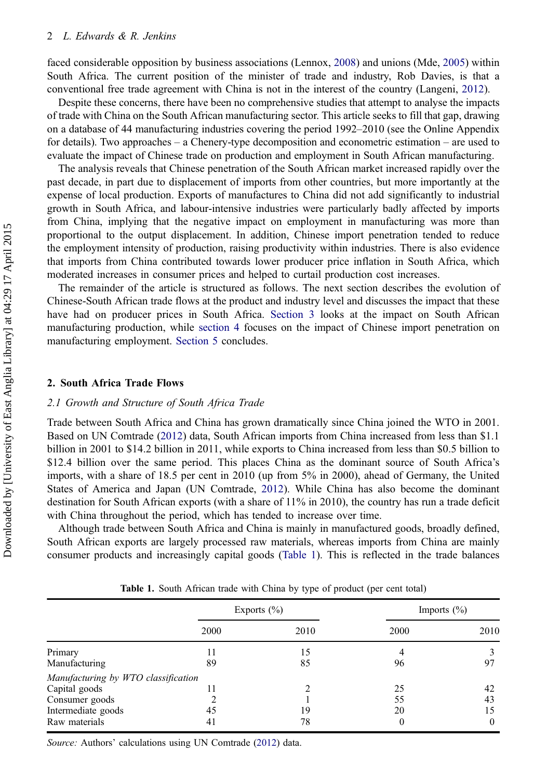<span id="page-3-0"></span>faced considerable opposition by business associations (Lennox, [2008](#page-17-0)) and unions (Mde, [2005\)](#page-17-0) within South Africa. The current position of the minister of trade and industry, Rob Davies, is that a conventional free trade agreement with China is not in the interest of the country (Langeni, [2012\)](#page-17-0).

Despite these concerns, there have been no comprehensive studies that attempt to analyse the impacts of trade with China on the South African manufacturing sector. This article seeks to fill that gap, drawing on a database of 44 manufacturing industries covering the period 1992–2010 (see the Online Appendix for details). Two approaches – a Chenery-type decomposition and econometric estimation – are used to evaluate the impact of Chinese trade on production and employment in South African manufacturing.

The analysis reveals that Chinese penetration of the South African market increased rapidly over the past decade, in part due to displacement of imports from other countries, but more importantly at the expense of local production. Exports of manufactures to China did not add significantly to industrial growth in South Africa, and labour-intensive industries were particularly badly affected by imports from China, implying that the negative impact on employment in manufacturing was more than proportional to the output displacement. In addition, Chinese import penetration tended to reduce the employment intensity of production, raising productivity within industries. There is also evidence that imports from China contributed towards lower producer price inflation in South Africa, which moderated increases in consumer prices and helped to curtail production cost increases.

The remainder of the article is structured as follows. The next section describes the evolution of Chinese-South African trade flows at the product and industry level and discusses the impact that these have had on producer prices in South Africa. [Section 3](#page-7-0) looks at the impact on South African manufacturing production, while [section 4](#page-9-0) focuses on the impact of Chinese import penetration on manufacturing employment. [Section 5](#page-14-0) concludes.

# 2. South Africa Trade Flows

## 2.1 Growth and Structure of South Africa Trade

Trade between South Africa and China has grown dramatically since China joined the WTO in 2001. Based on UN Comtrade ([2012\)](#page-18-0) data, South African imports from China increased from less than \$1.1 billion in 2001 to \$14.2 billion in 2011, while exports to China increased from less than \$0.5 billion to \$12.4 billion over the same period. This places China as the dominant source of South Africa's imports, with a share of 18.5 per cent in 2010 (up from 5% in 2000), ahead of Germany, the United States of America and Japan (UN Comtrade, [2012\)](#page-18-0). While China has also become the dominant destination for South African exports (with a share of 11% in 2010), the country has run a trade deficit with China throughout the period, which has tended to increase over time.

Although trade between South Africa and China is mainly in manufactured goods, broadly defined, South African exports are largely processed raw materials, whereas imports from China are mainly consumer products and increasingly capital goods (Table 1). This is reflected in the trade balances

|      | Imports $(\% )$ |
|------|-----------------|
| 2000 | 2010            |
|      |                 |
| 96   | 97              |
|      |                 |
| 25   | 42              |
| 55   | 43              |
| 20   | 15              |
| 0    | $\theta$        |
|      |                 |

Table 1. South African trade with China by type of product (per cent total)

Source: Authors' calculations using UN Comtrade ([2012\)](#page-18-0) data.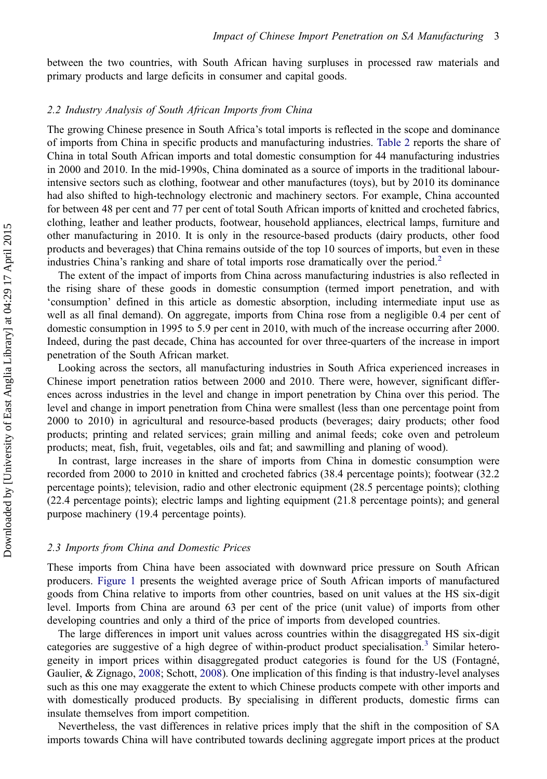between the two countries, with South African having surpluses in processed raw materials and primary products and large deficits in consumer and capital goods.

# 2.2 Industry Analysis of South African Imports from China

The growing Chinese presence in South Africa's total imports is reflected in the scope and dominance of imports from China in specific products and manufacturing industries. [Table 2](#page-5-0) reports the share of China in total South African imports and total domestic consumption for 44 manufacturing industries in 2000 and 2010. In the mid-1990s, China dominated as a source of imports in the traditional labourintensive sectors such as clothing, footwear and other manufactures (toys), but by 2010 its dominance had also shifted to high-technology electronic and machinery sectors. For example, China accounted for between 48 per cent and 77 per cent of total South African imports of knitted and crocheted fabrics, clothing, leather and leather products, footwear, household appliances, electrical lamps, furniture and other manufacturing in 2010. It is only in the resource-based products (dairy products, other food products and beverages) that China remains outside of the top 10 sources of imports, but even in these industries China's ranking and share of total imports rose dramatically over the period.<sup>[2](#page-15-0)</sup>

The extent of the impact of imports from China across manufacturing industries is also reflected in the rising share of these goods in domestic consumption (termed import penetration, and with 'consumption' defined in this article as domestic absorption, including intermediate input use as well as all final demand). On aggregate, imports from China rose from a negligible 0.4 per cent of domestic consumption in 1995 to 5.9 per cent in 2010, with much of the increase occurring after 2000. Indeed, during the past decade, China has accounted for over three-quarters of the increase in import penetration of the South African market.

Looking across the sectors, all manufacturing industries in South Africa experienced increases in Chinese import penetration ratios between 2000 and 2010. There were, however, significant differences across industries in the level and change in import penetration by China over this period. The level and change in import penetration from China were smallest (less than one percentage point from 2000 to 2010) in agricultural and resource-based products (beverages; dairy products; other food products; printing and related services; grain milling and animal feeds; coke oven and petroleum products; meat, fish, fruit, vegetables, oils and fat; and sawmilling and planing of wood).

In contrast, large increases in the share of imports from China in domestic consumption were recorded from 2000 to 2010 in knitted and crocheted fabrics (38.4 percentage points); footwear (32.2 percentage points); television, radio and other electronic equipment (28.5 percentage points); clothing (22.4 percentage points); electric lamps and lighting equipment (21.8 percentage points); and general purpose machinery (19.4 percentage points).

#### 2.3 Imports from China and Domestic Prices

These imports from China have been associated with downward price pressure on South African producers. [Figure 1](#page-6-0) presents the weighted average price of South African imports of manufactured goods from China relative to imports from other countries, based on unit values at the HS six-digit level. Imports from China are around 63 per cent of the price (unit value) of imports from other developing countries and only a third of the price of imports from developed countries.

The large differences in import unit values across countries within the disaggregated HS six-digit categories are suggestive of a high degree of within-product product specialisation.<sup>[3](#page-16-0)</sup> Similar heterogeneity in import prices within disaggregated product categories is found for the US (Fontagné, Gaulier, & Zignago, [2008;](#page-17-0) Schott, [2008](#page-18-0)). One implication of this finding is that industry-level analyses such as this one may exaggerate the extent to which Chinese products compete with other imports and with domestically produced products. By specialising in different products, domestic firms can insulate themselves from import competition.

Nevertheless, the vast differences in relative prices imply that the shift in the composition of SA imports towards China will have contributed towards declining aggregate import prices at the product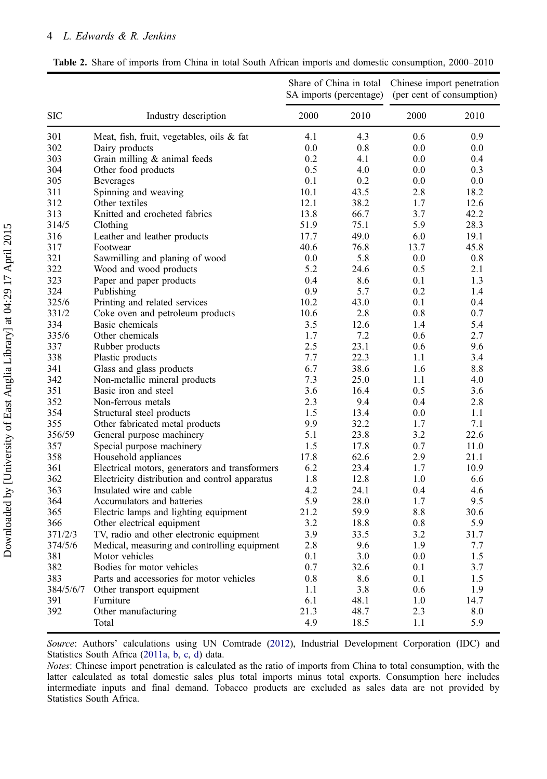# <span id="page-5-0"></span>4 L. Edwards & R. Jenkins

|            |                                                | Share of China in total<br>SA imports (percentage) |      | Chinese import penetration<br>(per cent of consumption) |      |
|------------|------------------------------------------------|----------------------------------------------------|------|---------------------------------------------------------|------|
| <b>SIC</b> | Industry description                           | 2000                                               | 2010 | 2000                                                    | 2010 |
| 301        | Meat, fish, fruit, vegetables, oils & fat      | 4.1                                                | 4.3  | 0.6                                                     | 0.9  |
| 302        | Dairy products                                 | 0.0                                                | 0.8  | 0.0                                                     | 0.0  |
| 303        | Grain milling & animal feeds                   | 0.2                                                | 4.1  | 0.0                                                     | 0.4  |
| 304        | Other food products                            | 0.5                                                | 4.0  | 0.0                                                     | 0.3  |
| 305        | <b>Beverages</b>                               | 0.1                                                | 0.2  | 0.0                                                     | 0.0  |
| 311        | Spinning and weaving                           | 10.1                                               | 43.5 | 2.8                                                     | 18.2 |
| 312        | Other textiles                                 | 12.1                                               | 38.2 | 1.7                                                     | 12.6 |
| 313        | Knitted and crocheted fabrics                  | 13.8                                               | 66.7 | 3.7                                                     | 42.2 |
| 314/5      | Clothing                                       | 51.9                                               | 75.1 | 5.9                                                     | 28.3 |
| 316        | Leather and leather products                   | 17.7                                               | 49.0 | 6.0                                                     | 19.1 |
| 317        | Footwear                                       | 40.6                                               | 76.8 | 13.7                                                    | 45.8 |
| 321        | Sawmilling and planing of wood                 | 0.0                                                | 5.8  | 0.0                                                     | 0.8  |
| 322        | Wood and wood products                         | 5.2                                                | 24.6 | 0.5                                                     | 2.1  |
| 323        | Paper and paper products                       | 0.4                                                | 8.6  | 0.1                                                     | 1.3  |
| 324        | Publishing                                     | 0.9                                                | 5.7  | 0.2                                                     | 1.4  |
| 325/6      | Printing and related services                  | 10.2                                               | 43.0 | 0.1                                                     | 0.4  |
| 331/2      | Coke oven and petroleum products               | 10.6                                               | 2.8  | 0.8                                                     | 0.7  |
| 334        | Basic chemicals                                | 3.5                                                | 12.6 | 1.4                                                     | 5.4  |
| 335/6      | Other chemicals                                | 1.7                                                | 7.2  | 0.6                                                     | 2.7  |
| 337        | Rubber products                                | 2.5                                                | 23.1 | 0.6                                                     | 9.6  |
| 338        | Plastic products                               | 7.7                                                | 22.3 | 1.1                                                     | 3.4  |
| 341        | Glass and glass products                       | 6.7                                                | 38.6 | 1.6                                                     | 8.8  |
| 342        | Non-metallic mineral products                  | 7.3                                                | 25.0 | 1.1                                                     | 4.0  |
| 351        | Basic iron and steel                           | 3.6                                                | 16.4 | 0.5                                                     | 3.6  |
| 352        | Non-ferrous metals                             | 2.3                                                | 9.4  | 0.4                                                     | 2.8  |
| 354        | Structural steel products                      | 1.5                                                | 13.4 | 0.0                                                     | 1.1  |
| 355        | Other fabricated metal products                | 9.9                                                | 32.2 | 1.7                                                     | 7.1  |
| 356/59     | General purpose machinery                      | 5.1                                                | 23.8 | 3.2                                                     | 22.6 |
| 357        | Special purpose machinery                      | 1.5                                                | 17.8 | 0.7                                                     | 11.0 |
| 358        | Household appliances                           | 17.8                                               | 62.6 | 2.9                                                     | 21.1 |
| 361        | Electrical motors, generators and transformers | 6.2                                                | 23.4 | 1.7                                                     | 10.9 |
| 362        | Electricity distribution and control apparatus | 1.8                                                | 12.8 | 1.0                                                     | 6.6  |
| 363        | Insulated wire and cable                       | 4.2                                                | 24.1 | 0.4                                                     | 4.6  |
| 364        | Accumulators and batteries                     | 5.9                                                | 28.0 | 1.7                                                     | 9.5  |
| 365        | Electric lamps and lighting equipment          | 21.2                                               | 59.9 | 8.8                                                     | 30.6 |
| 366        | Other electrical equipment                     | 3.2                                                | 18.8 | 0.8                                                     | 5.9  |
| 371/2/3    | TV, radio and other electronic equipment       | 3.9                                                | 33.5 | 3.2                                                     | 31.7 |
| 374/5/6    | Medical, measuring and controlling equipment   | 2.8                                                | 9.6  | 1.9                                                     | 7.7  |
| 381        | Motor vehicles                                 | 0.1                                                | 3.0  | 0.0                                                     | 1.5  |
| 382        | Bodies for motor vehicles                      | 0.7                                                | 32.6 | 0.1                                                     | 3.7  |
|            |                                                | 0.8                                                |      | 0.1                                                     | 1.5  |
| 383        | Parts and accessories for motor vehicles       |                                                    | 8.6  |                                                         |      |
| 384/5/6/7  | Other transport equipment                      | 1.1                                                | 3.8  | 0.6                                                     | 1.9  |
| 391        | Furniture                                      | 6.1                                                | 48.1 | 1.0                                                     | 14.7 |
| 392        | Other manufacturing                            | 21.3                                               | 48.7 | 2.3                                                     | 8.0  |
|            | Total                                          | 4.9                                                | 18.5 | 1.1                                                     | 5.9  |

Table 2. Share of imports from China in total South African imports and domestic consumption, 2000–2010

Source: Authors' calculations using UN Comtrade ([2012\)](#page-18-0), Industrial Development Corporation (IDC) and Statistics South Africa [\(2011a](#page-18-0), [b,](#page-18-0) [c,](#page-18-0) [d\)](#page-18-0) data.

Notes: Chinese import penetration is calculated as the ratio of imports from China to total consumption, with the latter calculated as total domestic sales plus total imports minus total exports. Consumption here includes intermediate inputs and final demand. Tobacco products are excluded as sales data are not provided by Statistics South Africa.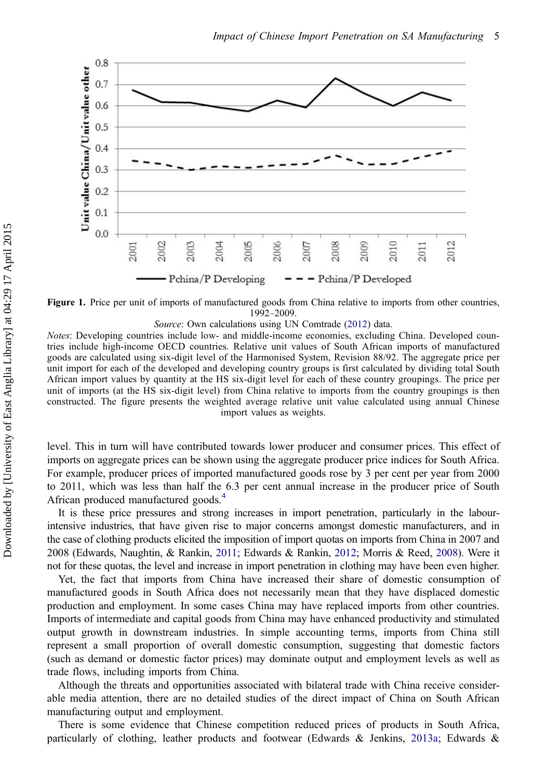<span id="page-6-0"></span>

Figure 1. Price per unit of imports of manufactured goods from China relative to imports from other countries, 1992–2009.

Source: Own calculations using UN Comtrade [\(2012](#page-18-0)) data.

Notes: Developing countries include low- and middle-income economies, excluding China. Developed countries include high-income OECD countries. Relative unit values of South African imports of manufactured goods are calculated using six-digit level of the Harmonised System, Revision 88/92. The aggregate price per unit import for each of the developed and developing country groups is first calculated by dividing total South African import values by quantity at the HS six-digit level for each of these country groupings. The price per unit of imports (at the HS six-digit level) from China relative to imports from the country groupings is then constructed. The figure presents the weighted average relative unit value calculated using annual Chinese import values as weights.

level. This in turn will have contributed towards lower producer and consumer prices. This effect of imports on aggregate prices can be shown using the aggregate producer price indices for South Africa. For example, producer prices of imported manufactured goods rose by 3 per cent per year from 2000 to 2011, which was less than half the 6.3 per cent annual increase in the producer price of South African produced manufactured goods.<sup>[4](#page-16-0)</sup>

It is these price pressures and strong increases in import penetration, particularly in the labourintensive industries, that have given rise to major concerns amongst domestic manufacturers, and in the case of clothing products elicited the imposition of import quotas on imports from China in 2007 and 2008 (Edwards, Naughtin, & Rankin, [2011;](#page-17-0) Edwards & Rankin, [2012](#page-17-0); Morris & Reed, [2008](#page-17-0)). Were it not for these quotas, the level and increase in import penetration in clothing may have been even higher.

Yet, the fact that imports from China have increased their share of domestic consumption of manufactured goods in South Africa does not necessarily mean that they have displaced domestic production and employment. In some cases China may have replaced imports from other countries. Imports of intermediate and capital goods from China may have enhanced productivity and stimulated output growth in downstream industries. In simple accounting terms, imports from China still represent a small proportion of overall domestic consumption, suggesting that domestic factors (such as demand or domestic factor prices) may dominate output and employment levels as well as trade flows, including imports from China.

Although the threats and opportunities associated with bilateral trade with China receive considerable media attention, there are no detailed studies of the direct impact of China on South African manufacturing output and employment.

There is some evidence that Chinese competition reduced prices of products in South Africa, particularly of clothing, leather products and footwear (Edwards & Jenkins, [2013a](#page-17-0); Edwards &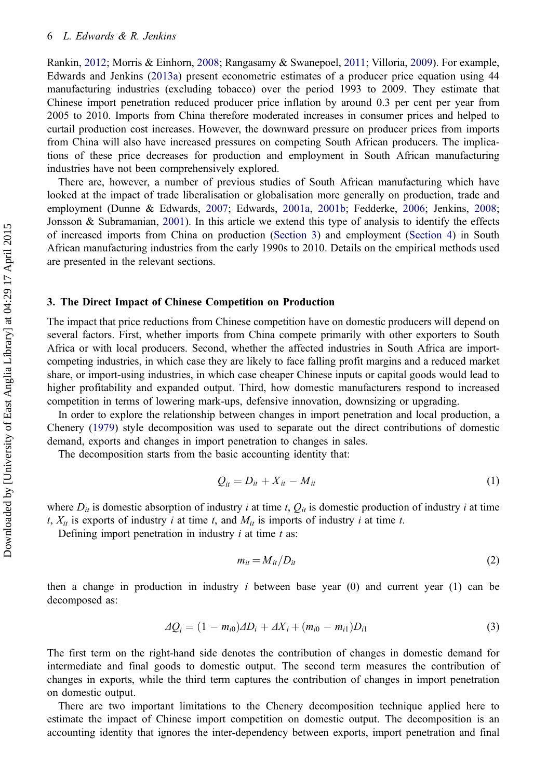<span id="page-7-0"></span>Rankin, [2012](#page-17-0); Morris & Einhorn, [2008;](#page-17-0) Rangasamy & Swanepoel, [2011](#page-18-0); Villoria, [2009](#page-18-0)). For example, Edwards and Jenkins [\(2013a\)](#page-17-0) present econometric estimates of a producer price equation using 44 manufacturing industries (excluding tobacco) over the period 1993 to 2009. They estimate that Chinese import penetration reduced producer price inflation by around 0.3 per cent per year from 2005 to 2010. Imports from China therefore moderated increases in consumer prices and helped to curtail production cost increases. However, the downward pressure on producer prices from imports from China will also have increased pressures on competing South African producers. The implications of these price decreases for production and employment in South African manufacturing industries have not been comprehensively explored.

There are, however, a number of previous studies of South African manufacturing which have looked at the impact of trade liberalisation or globalisation more generally on production, trade and employment (Dunne & Edwards, [2007;](#page-17-0) Edwards, [2001a,](#page-17-0) [2001b;](#page-17-0) Fedderke, [2006](#page-17-0); Jenkins, [2008;](#page-17-0) Jonsson & Subramanian, [2001\)](#page-17-0). In this article we extend this type of analysis to identify the effects of increased imports from China on production (Section 3) and employment [\(Section 4](#page-9-0)) in South African manufacturing industries from the early 1990s to 2010. Details on the empirical methods used are presented in the relevant sections.

### 3. The Direct Impact of Chinese Competition on Production

The impact that price reductions from Chinese competition have on domestic producers will depend on several factors. First, whether imports from China compete primarily with other exporters to South Africa or with local producers. Second, whether the affected industries in South Africa are importcompeting industries, in which case they are likely to face falling profit margins and a reduced market share, or import-using industries, in which case cheaper Chinese inputs or capital goods would lead to higher profitability and expanded output. Third, how domestic manufacturers respond to increased competition in terms of lowering mark-ups, defensive innovation, downsizing or upgrading.

In order to explore the relationship between changes in import penetration and local production, a Chenery ([1979](#page-17-0)) style decomposition was used to separate out the direct contributions of domestic demand, exports and changes in import penetration to changes in sales.

The decomposition starts from the basic accounting identity that:

$$
Q_{it} = D_{it} + X_{it} - M_{it} \tag{1}
$$

where  $D_{it}$  is domestic absorption of industry *i* at time t,  $Q_{it}$  is domestic production of industry *i* at time t,  $X_{it}$  is exports of industry i at time t, and  $M_{it}$  is imports of industry i at time t.

Defining import penetration in industry  $i$  at time  $t$  as:

$$
m_{it} = M_{it}/D_{it} \tag{2}
$$

then a change in production in industry  $i$  between base year  $(0)$  and current year  $(1)$  can be decomposed as:

$$
\Delta Q_i = (1 - m_{i0})\Delta D_i + \Delta X_i + (m_{i0} - m_{i1})D_{i1}
$$
\n(3)

The first term on the right-hand side denotes the contribution of changes in domestic demand for intermediate and final goods to domestic output. The second term measures the contribution of changes in exports, while the third term captures the contribution of changes in import penetration on domestic output.

There are two important limitations to the Chenery decomposition technique applied here to estimate the impact of Chinese import competition on domestic output. The decomposition is an accounting identity that ignores the inter-dependency between exports, import penetration and final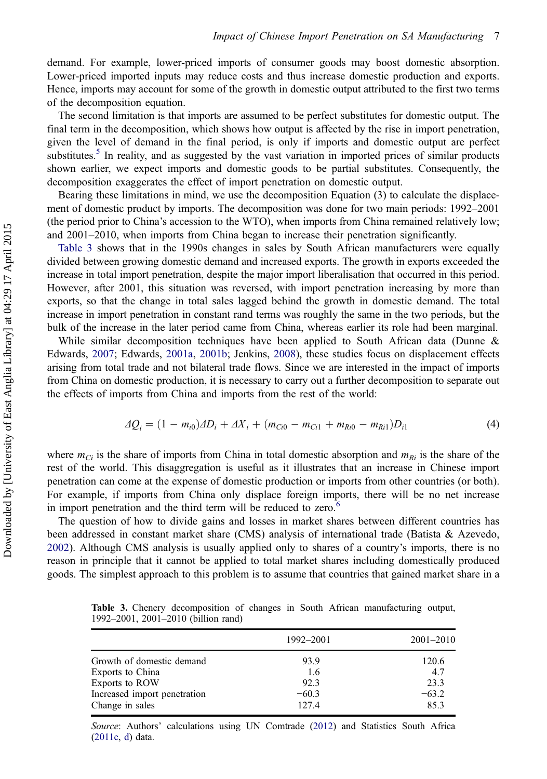demand. For example, lower-priced imports of consumer goods may boost domestic absorption. Lower-priced imported inputs may reduce costs and thus increase domestic production and exports. Hence, imports may account for some of the growth in domestic output attributed to the first two terms of the decomposition equation.

The second limitation is that imports are assumed to be perfect substitutes for domestic output. The final term in the decomposition, which shows how output is affected by the rise in import penetration, given the level of demand in the final period, is only if imports and domestic output are perfect substitutes.<sup>[5](#page-16-0)</sup> In reality, and as suggested by the vast variation in imported prices of similar products shown earlier, we expect imports and domestic goods to be partial substitutes. Consequently, the decomposition exaggerates the effect of import penetration on domestic output.

Bearing these limitations in mind, we use the decomposition Equation (3) to calculate the displacement of domestic product by imports. The decomposition was done for two main periods: 1992–2001 (the period prior to China's accession to the WTO), when imports from China remained relatively low; and 2001–2010, when imports from China began to increase their penetration significantly.

Table 3 shows that in the 1990s changes in sales by South African manufacturers were equally divided between growing domestic demand and increased exports. The growth in exports exceeded the increase in total import penetration, despite the major import liberalisation that occurred in this period. However, after 2001, this situation was reversed, with import penetration increasing by more than exports, so that the change in total sales lagged behind the growth in domestic demand. The total increase in import penetration in constant rand terms was roughly the same in the two periods, but the bulk of the increase in the later period came from China, whereas earlier its role had been marginal.

While similar decomposition techniques have been applied to South African data (Dunne & Edwards, [2007](#page-17-0); Edwards, [2001a](#page-17-0), [2001b](#page-17-0); Jenkins, [2008\)](#page-17-0), these studies focus on displacement effects arising from total trade and not bilateral trade flows. Since we are interested in the impact of imports from China on domestic production, it is necessary to carry out a further decomposition to separate out the effects of imports from China and imports from the rest of the world:

$$
\Delta Q_i = (1 - m_{i0})\Delta D_i + \Delta X_i + (m_{Ci0} - m_{Ci1} + m_{Ri0} - m_{Ri1})D_{i1}
$$
(4)

where  $m_{Ci}$  is the share of imports from China in total domestic absorption and  $m_{Ri}$  is the share of the rest of the world. This disaggregation is useful as it illustrates that an increase in Chinese import penetration can come at the expense of domestic production or imports from other countries (or both). For example, if imports from China only displace foreign imports, there will be no net increase in import penetration and the third term will be reduced to zero.<sup>[6](#page-16-0)</sup>

The question of how to divide gains and losses in market shares between different countries has been addressed in constant market share (CMS) analysis of international trade (Batista & Azevedo, [2002](#page-16-0)). Although CMS analysis is usually applied only to shares of a country's imports, there is no reason in principle that it cannot be applied to total market shares including domestically produced goods. The simplest approach to this problem is to assume that countries that gained market share in a

Table 3. Chenery decomposition of changes in South African manufacturing output, 1992–2001, 2001–2010 (billion rand)

|                              | 1992–2001 | $2001 - 2010$ |
|------------------------------|-----------|---------------|
| Growth of domestic demand    | 93.9      | 120.6         |
| Exports to China             | 1.6       | 4.7           |
| Exports to ROW               | 92.3      | 23.3          |
| Increased import penetration | $-60.3$   | $-63.2$       |
| Change in sales              | 127.4     | 85.3          |

Source: Authors' calculations using UN Comtrade ([2012](#page-18-0)) and Statistics South Africa [\(2011c,](#page-18-0) [d\)](#page-18-0) data.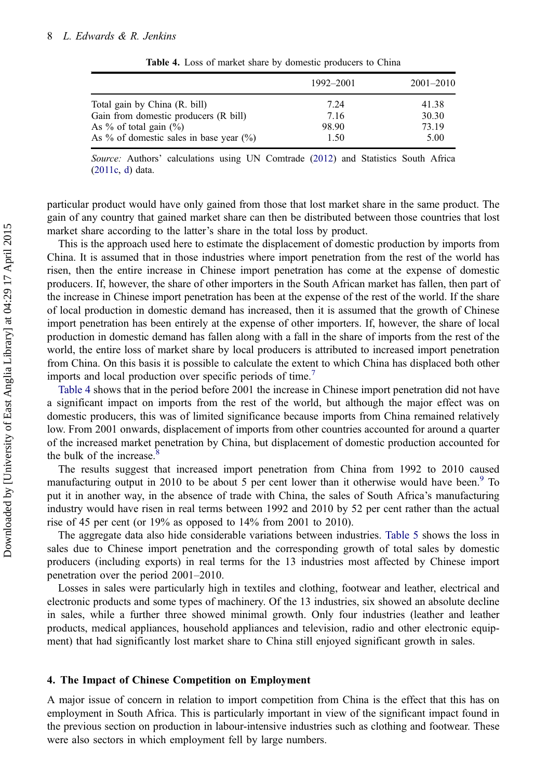<span id="page-9-0"></span>

|                                             | 1992-2001 | $2001 - 2010$ |
|---------------------------------------------|-----------|---------------|
| Total gain by China (R. bill)               | 7.24      | 41.38         |
| Gain from domestic producers (R bill)       | 7.16      | 30.30         |
| As $\%$ of total gain $(\% )$               | 98.90     | 73.19         |
| As % of domestic sales in base year $(\% )$ | 1.50      | 5.00          |

Table 4. Loss of market share by domestic producers to China

Source: Authors' calculations using UN Comtrade ([2012\)](#page-18-0) and Statistics South Africa [\(2011c,](#page-18-0) [d\)](#page-18-0) data.

particular product would have only gained from those that lost market share in the same product. The gain of any country that gained market share can then be distributed between those countries that lost market share according to the latter's share in the total loss by product.

This is the approach used here to estimate the displacement of domestic production by imports from China. It is assumed that in those industries where import penetration from the rest of the world has risen, then the entire increase in Chinese import penetration has come at the expense of domestic producers. If, however, the share of other importers in the South African market has fallen, then part of the increase in Chinese import penetration has been at the expense of the rest of the world. If the share of local production in domestic demand has increased, then it is assumed that the growth of Chinese import penetration has been entirely at the expense of other importers. If, however, the share of local production in domestic demand has fallen along with a fall in the share of imports from the rest of the world, the entire loss of market share by local producers is attributed to increased import penetration from China. On this basis it is possible to calculate the extent to which China has displaced both other imports and local production over specific periods of time.<sup>[7](#page-16-0)</sup>

Table 4 shows that in the period before 2001 the increase in Chinese import penetration did not have a significant impact on imports from the rest of the world, but although the major effect was on domestic producers, this was of limited significance because imports from China remained relatively low. From 2001 onwards, displacement of imports from other countries accounted for around a quarter of the increased market penetration by China, but displacement of domestic production accounted for the bulk of the increase. $8$ 

The results suggest that increased import penetration from China from 1992 to 2010 caused manufacturing output in 2010 to be about 5 per cent lower than it otherwise would have been. $9\degree$  $9\degree$  To put it in another way, in the absence of trade with China, the sales of South Africa's manufacturing industry would have risen in real terms between 1992 and 2010 by 52 per cent rather than the actual rise of 45 per cent (or 19% as opposed to 14% from 2001 to 2010).

The aggregate data also hide considerable variations between industries. [Table 5](#page-10-0) shows the loss in sales due to Chinese import penetration and the corresponding growth of total sales by domestic producers (including exports) in real terms for the 13 industries most affected by Chinese import penetration over the period 2001–2010.

Losses in sales were particularly high in textiles and clothing, footwear and leather, electrical and electronic products and some types of machinery. Of the 13 industries, six showed an absolute decline in sales, while a further three showed minimal growth. Only four industries (leather and leather products, medical appliances, household appliances and television, radio and other electronic equipment) that had significantly lost market share to China still enjoyed significant growth in sales.

#### 4. The Impact of Chinese Competition on Employment

A major issue of concern in relation to import competition from China is the effect that this has on employment in South Africa. This is particularly important in view of the significant impact found in the previous section on production in labour-intensive industries such as clothing and footwear. These were also sectors in which employment fell by large numbers.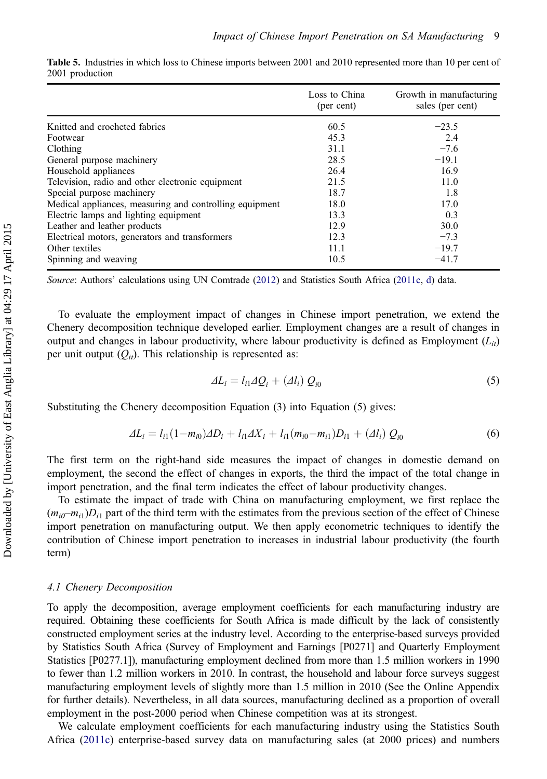|                                                         | Loss to China<br>(per cent) | Growth in manufacturing<br>sales (per cent) |
|---------------------------------------------------------|-----------------------------|---------------------------------------------|
| Knitted and crocheted fabrics                           | 60.5                        | $-23.5$                                     |
| Footwear                                                | 45.3                        | 2.4                                         |
| Clothing                                                | 31.1                        | $-7.6$                                      |
| General purpose machinery                               | 28.5                        | $-19.1$                                     |
| Household appliances                                    | 26.4                        | 16.9                                        |
| Television, radio and other electronic equipment        | 21.5                        | 11.0                                        |
| Special purpose machinery                               | 18.7                        | 1.8                                         |
| Medical appliances, measuring and controlling equipment | 18.0                        | 17.0                                        |
| Electric lamps and lighting equipment                   | 13.3                        | 0.3                                         |
| Leather and leather products                            | 12.9                        | 30.0                                        |
| Electrical motors, generators and transformers          | 12.3                        | $-7.3$                                      |
| Other textiles                                          | 11.1                        | $-19.7$                                     |
| Spinning and weaving                                    | 10.5                        | $-41.7$                                     |

<span id="page-10-0"></span>Table 5. Industries in which loss to Chinese imports between 2001 and 2010 represented more than 10 per cent of 2001 production

Source: Authors' calculations using UN Comtrade [\(2012](#page-18-0)) and Statistics South Africa ([2011c](#page-18-0), [d](#page-18-0)) data.

To evaluate the employment impact of changes in Chinese import penetration, we extend the Chenery decomposition technique developed earlier. Employment changes are a result of changes in output and changes in labour productivity, where labour productivity is defined as Employment  $(L_i)$ per unit output  $(Q_{it})$ . This relationship is represented as:

$$
\Delta L_i = l_{i1} \Delta Q_i + (\Delta l_i) Q_{i0} \tag{5}
$$

Substituting the Chenery decomposition Equation (3) into Equation (5) gives:

$$
\Delta L_i = l_{i1} (1 - m_{i0}) \Delta D_i + l_{i1} \Delta X_i + l_{i1} (m_{i0} - m_{i1}) D_{i1} + (\Delta l_i) Q_{i0}
$$
(6)

The first term on the right-hand side measures the impact of changes in domestic demand on employment, the second the effect of changes in exports, the third the impact of the total change in import penetration, and the final term indicates the effect of labour productivity changes.

To estimate the impact of trade with China on manufacturing employment, we first replace the  $(m_{i0}-m_{i1})D_{i1}$  part of the third term with the estimates from the previous section of the effect of Chinese import penetration on manufacturing output. We then apply econometric techniques to identify the contribution of Chinese import penetration to increases in industrial labour productivity (the fourth term)

# 4.1 Chenery Decomposition

To apply the decomposition, average employment coefficients for each manufacturing industry are required. Obtaining these coefficients for South Africa is made difficult by the lack of consistently constructed employment series at the industry level. According to the enterprise-based surveys provided by Statistics South Africa (Survey of Employment and Earnings [P0271] and Quarterly Employment Statistics [P0277.1]), manufacturing employment declined from more than 1.5 million workers in 1990 to fewer than 1.2 million workers in 2010. In contrast, the household and labour force surveys suggest manufacturing employment levels of slightly more than 1.5 million in 2010 (See the Online Appendix for further details). Nevertheless, in all data sources, manufacturing declined as a proportion of overall employment in the post-2000 period when Chinese competition was at its strongest.

We calculate employment coefficients for each manufacturing industry using the Statistics South Africa [\(2011c](#page-18-0)) enterprise-based survey data on manufacturing sales (at 2000 prices) and numbers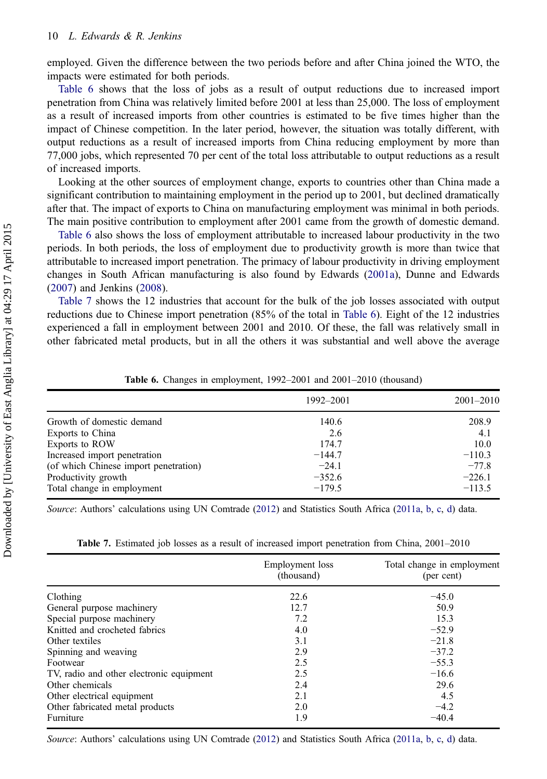<span id="page-11-0"></span>employed. Given the difference between the two periods before and after China joined the WTO, the impacts were estimated for both periods.

Table 6 shows that the loss of jobs as a result of output reductions due to increased import penetration from China was relatively limited before 2001 at less than 25,000. The loss of employment as a result of increased imports from other countries is estimated to be five times higher than the impact of Chinese competition. In the later period, however, the situation was totally different, with output reductions as a result of increased imports from China reducing employment by more than 77,000 jobs, which represented 70 per cent of the total loss attributable to output reductions as a result of increased imports.

Looking at the other sources of employment change, exports to countries other than China made a significant contribution to maintaining employment in the period up to 2001, but declined dramatically after that. The impact of exports to China on manufacturing employment was minimal in both periods. The main positive contribution to employment after 2001 came from the growth of domestic demand.

Table 6 also shows the loss of employment attributable to increased labour productivity in the two periods. In both periods, the loss of employment due to productivity growth is more than twice that attributable to increased import penetration. The primacy of labour productivity in driving employment changes in South African manufacturing is also found by Edwards ([2001a\)](#page-17-0), Dunne and Edwards ([2007\)](#page-17-0) and Jenkins [\(2008](#page-17-0)).

Table 7 shows the 12 industries that account for the bulk of the job losses associated with output reductions due to Chinese import penetration (85% of the total in Table 6). Eight of the 12 industries experienced a fall in employment between 2001 and 2010. Of these, the fall was relatively small in other fabricated metal products, but in all the others it was substantial and well above the average

|                                       | 1992–2001 | $2001 - 2010$ |
|---------------------------------------|-----------|---------------|
| Growth of domestic demand             | 140.6     | 208.9         |
| Exports to China                      | 2.6       | 4.1           |
| Exports to ROW                        | 174.7     | 10.0          |
| Increased import penetration          | $-144.7$  | $-110.3$      |
| (of which Chinese import penetration) | $-24.1$   | $-77.8$       |
| Productivity growth                   | $-352.6$  | $-226.1$      |
| Total change in employment            | $-179.5$  | $-113.5$      |
|                                       |           |               |

Table 6. Changes in employment, 1992–2001 and 2001–2010 (thousand)

Source: Authors' calculations using UN Comtrade [\(2012](#page-18-0)) and Statistics South Africa ([2011a](#page-18-0), [b,](#page-18-0) [c](#page-18-0), [d\)](#page-18-0) data.

|  |  | <b>Table 7.</b> Estimated job losses as a result of increased import penetration from China, 2001–2010 |
|--|--|--------------------------------------------------------------------------------------------------------|
|--|--|--------------------------------------------------------------------------------------------------------|

|                                          | Employment loss<br>(thousand) | Total change in employment<br>(per cent) |
|------------------------------------------|-------------------------------|------------------------------------------|
| Clothing                                 | 22.6                          | $-45.0$                                  |
| General purpose machinery                | 12.7                          | 50.9                                     |
| Special purpose machinery                | 7.2                           | 15.3                                     |
| Knitted and crocheted fabrics            | 4.0                           | $-52.9$                                  |
| Other textiles                           | 3.1                           | $-21.8$                                  |
| Spinning and weaving                     | 2.9                           | $-37.2$                                  |
| Footwear                                 | 2.5                           | $-55.3$                                  |
| TV, radio and other electronic equipment | 2.5                           | $-16.6$                                  |
| Other chemicals                          | 2.4                           | 29.6                                     |
| Other electrical equipment               | 2.1                           | 4.5                                      |
| Other fabricated metal products          | 2.0                           | $-4.2$                                   |
| Furniture                                | 1.9                           | $-40.4$                                  |

Source: Authors' calculations using UN Comtrade [\(2012](#page-18-0)) and Statistics South Africa ([2011a](#page-18-0), [b,](#page-18-0) [c](#page-18-0), [d\)](#page-18-0) data.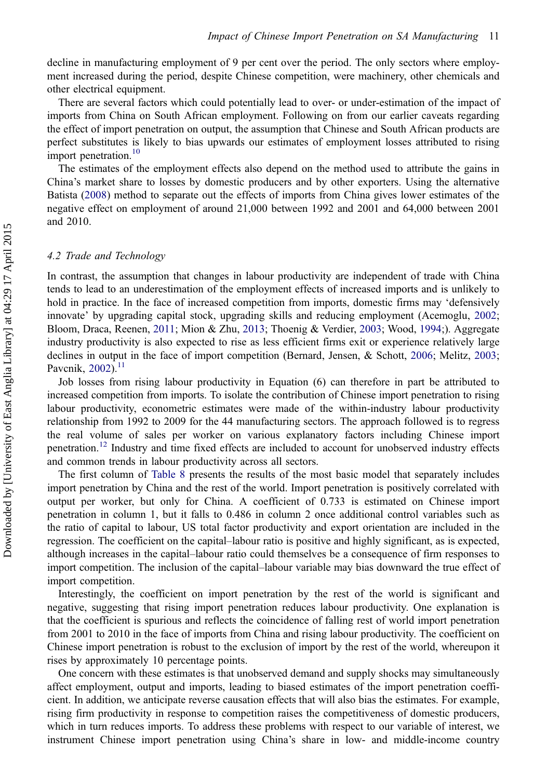decline in manufacturing employment of 9 per cent over the period. The only sectors where employment increased during the period, despite Chinese competition, were machinery, other chemicals and other electrical equipment.

There are several factors which could potentially lead to over- or under-estimation of the impact of imports from China on South African employment. Following on from our earlier caveats regarding the effect of import penetration on output, the assumption that Chinese and South African products are perfect substitutes is likely to bias upwards our estimates of employment losses attributed to rising import penetration.<sup>[10](#page-16-0)</sup>

The estimates of the employment effects also depend on the method used to attribute the gains in China's market share to losses by domestic producers and by other exporters. Using the alternative Batista [\(2008](#page-16-0)) method to separate out the effects of imports from China gives lower estimates of the negative effect on employment of around 21,000 between 1992 and 2001 and 64,000 between 2001 and 2010.

#### 4.2 Trade and Technology

In contrast, the assumption that changes in labour productivity are independent of trade with China tends to lead to an underestimation of the employment effects of increased imports and is unlikely to hold in practice. In the face of increased competition from imports, domestic firms may 'defensively innovate' by upgrading capital stock, upgrading skills and reducing employment (Acemoglu, [2002;](#page-16-0) Bloom, Draca, Reenen, [2011;](#page-17-0) Mion & Zhu, [2013](#page-17-0); Thoenig & Verdier, [2003](#page-18-0); Wood, [1994](#page-18-0);). Aggregate industry productivity is also expected to rise as less efficient firms exit or experience relatively large declines in output in the face of import competition (Bernard, Jensen, & Schott, [2006;](#page-16-0) Melitz, [2003;](#page-17-0) Pavcnik, [2002](#page-17-0)).<sup>[11](#page-16-0)</sup>

Job losses from rising labour productivity in Equation (6) can therefore in part be attributed to increased competition from imports. To isolate the contribution of Chinese import penetration to rising labour productivity, econometric estimates were made of the within-industry labour productivity relationship from 1992 to 2009 for the 44 manufacturing sectors. The approach followed is to regress the real volume of sales per worker on various explanatory factors including Chinese import penetration.[12](#page-16-0) Industry and time fixed effects are included to account for unobserved industry effects and common trends in labour productivity across all sectors.

The first column of [Table 8](#page-13-0) presents the results of the most basic model that separately includes import penetration by China and the rest of the world. Import penetration is positively correlated with output per worker, but only for China. A coefficient of 0.733 is estimated on Chinese import penetration in column 1, but it falls to 0.486 in column 2 once additional control variables such as the ratio of capital to labour, US total factor productivity and export orientation are included in the regression. The coefficient on the capital–labour ratio is positive and highly significant, as is expected, although increases in the capital–labour ratio could themselves be a consequence of firm responses to import competition. The inclusion of the capital–labour variable may bias downward the true effect of import competition.

Interestingly, the coefficient on import penetration by the rest of the world is significant and negative, suggesting that rising import penetration reduces labour productivity. One explanation is that the coefficient is spurious and reflects the coincidence of falling rest of world import penetration from 2001 to 2010 in the face of imports from China and rising labour productivity. The coefficient on Chinese import penetration is robust to the exclusion of import by the rest of the world, whereupon it rises by approximately 10 percentage points.

One concern with these estimates is that unobserved demand and supply shocks may simultaneously affect employment, output and imports, leading to biased estimates of the import penetration coefficient. In addition, we anticipate reverse causation effects that will also bias the estimates. For example, rising firm productivity in response to competition raises the competitiveness of domestic producers, which in turn reduces imports. To address these problems with respect to our variable of interest, we instrument Chinese import penetration using China's share in low- and middle-income country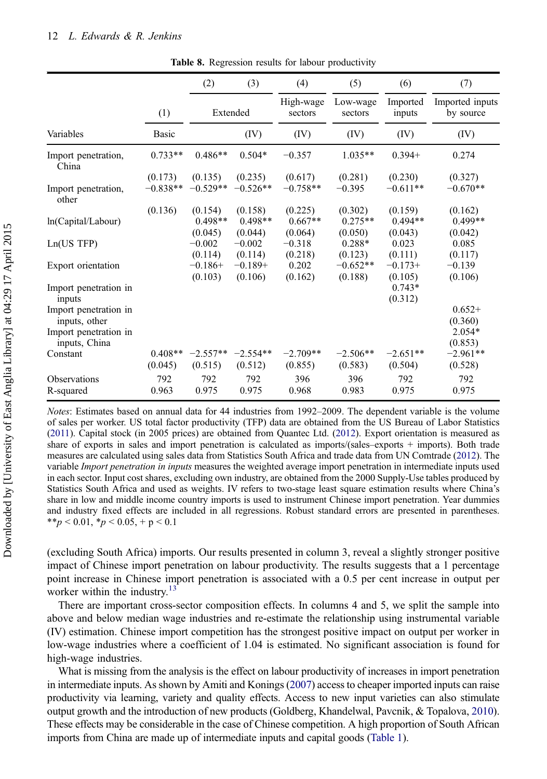<span id="page-13-0"></span>

|                                        |                       | (2)                             | (3)                             | (4)                             | (5)                             | (6)                             | (7)                             |
|----------------------------------------|-----------------------|---------------------------------|---------------------------------|---------------------------------|---------------------------------|---------------------------------|---------------------------------|
|                                        | (1)                   |                                 | Extended                        | High-wage<br>sectors            | Low-wage<br>sectors             | Imported<br>inputs              | Imported inputs<br>by source    |
| Variables                              | Basic                 |                                 | (IV)                            | (IV)                            | (IV)                            | (IV)                            | (IV)                            |
| Import penetration,<br>China           | $0.733**$             | $0.486**$                       | $0.504*$                        | $-0.357$                        | $1.035**$                       | $0.394+$                        | 0.274                           |
| Import penetration,<br>other           | (0.173)<br>$-0.838**$ | (0.135)<br>$-0.529**$           | (0.235)<br>$-0.526**$           | (0.617)<br>$-0.758**$           | (0.281)<br>$-0.395$             | (0.230)<br>$-0.611**$           | (0.327)<br>$-0.670**$           |
| ln(Capital/Labour)                     | (0.136)               | (0.154)<br>$0.498**$<br>(0.045) | (0.158)<br>$0.498**$<br>(0.044) | (0.225)<br>$0.667**$<br>(0.064) | (0.302)<br>$0.275**$<br>(0.050) | (0.159)<br>$0.494**$<br>(0.043) | (0.162)<br>$0.499**$<br>(0.042) |
| Ln(US TFP)                             |                       | $-0.002$<br>(0.114)             | $-0.002$<br>(0.114)             | $-0.318$<br>(0.218)             | $0.288*$<br>(0.123)             | 0.023<br>(0.111)                | 0.085<br>(0.117)                |
| Export orientation                     |                       | $-0.186+$<br>(0.103)            | $-0.189+$<br>(0.106)            | 0.202<br>(0.162)                | $-0.652**$<br>(0.188)           | $-0.173+$<br>(0.105)            | $-0.139$<br>(0.106)             |
| Import penetration in<br>inputs        |                       |                                 |                                 |                                 |                                 | $0.743*$<br>(0.312)             |                                 |
| Import penetration in<br>inputs, other |                       |                                 |                                 |                                 |                                 |                                 | $0.652+$<br>(0.360)             |
| Import penetration in<br>inputs, China |                       |                                 |                                 |                                 |                                 |                                 | $2.054*$<br>(0.853)             |
| Constant                               | $0.408**$<br>(0.045)  | $-2.557**$<br>(0.515)           | $-2.554**$<br>(0.512)           | $-2.709**$<br>(0.855)           | $-2.506**$<br>(0.583)           | $-2.651**$<br>(0.504)           | $-2.961**$<br>(0.528)           |
| Observations<br>R-squared              | 792<br>0.963          | 792<br>0.975                    | 792<br>0.975                    | 396<br>0.968                    | 396<br>0.983                    | 792<br>0.975                    | 792<br>0.975                    |

Table 8. Regression results for labour productivity

Notes: Estimates based on annual data for 44 industries from 1992–2009. The dependent variable is the volume of sales per worker. US total factor productivity (TFP) data are obtained from the US Bureau of Labor Statistics [\(2011](#page-18-0)). Capital stock (in 2005 prices) are obtained from Quantec Ltd. ([2012\)](#page-17-0). Export orientation is measured as share of exports in sales and import penetration is calculated as imports/(sales–exports + imports). Both trade measures are calculated using sales data from Statistics South Africa and trade data from UN Comtrade ([2012\)](#page-18-0). The variable *Import penetration in inputs* measures the weighted average import penetration in intermediate inputs used in each sector. Input cost shares, excluding own industry, are obtained from the 2000 Supply-Use tables produced by Statistics South Africa and used as weights. IV refers to two-stage least square estimation results where China's share in low and middle income country imports is used to instrument Chinese import penetration. Year dummies and industry fixed effects are included in all regressions. Robust standard errors are presented in parentheses. \*\*p < 0.01, \*p < 0.05, + p < 0.1

(excluding South Africa) imports. Our results presented in column 3, reveal a slightly stronger positive impact of Chinese import penetration on labour productivity. The results suggests that a 1 percentage point increase in Chinese import penetration is associated with a 0.5 per cent increase in output per worker within the industry.<sup>[13](#page-16-0)</sup>

There are important cross-sector composition effects. In columns 4 and 5, we split the sample into above and below median wage industries and re-estimate the relationship using instrumental variable (IV) estimation. Chinese import competition has the strongest positive impact on output per worker in low-wage industries where a coefficient of 1.04 is estimated. No significant association is found for high-wage industries.

What is missing from the analysis is the effect on labour productivity of increases in import penetration in intermediate inputs. As shown by Amiti and Konings [\(2007](#page-16-0)) access to cheaper imported inputs can raise productivity via learning, variety and quality effects. Access to new input varieties can also stimulate output growth and the introduction of new products (Goldberg, Khandelwal, Pavcnik, & Topalova, [2010](#page-17-0)). These effects may be considerable in the case of Chinese competition. A high proportion of South African imports from China are made up of intermediate inputs and capital goods [\(Table 1](#page-3-0)).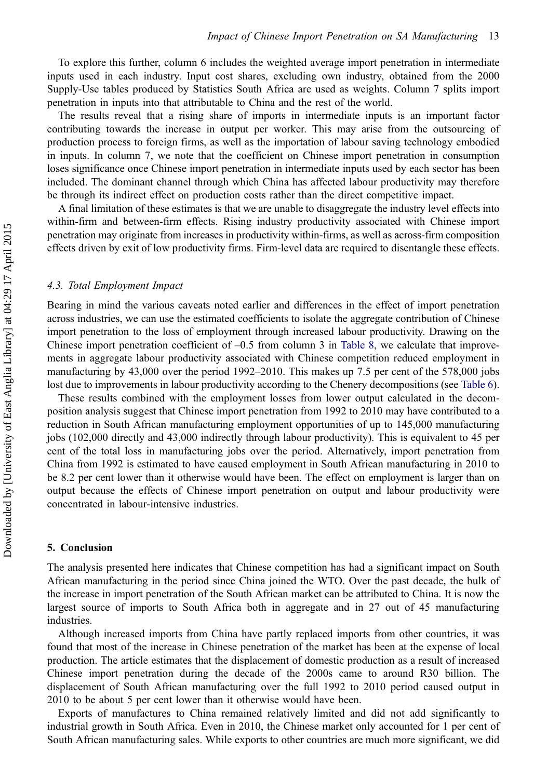<span id="page-14-0"></span>To explore this further, column 6 includes the weighted average import penetration in intermediate inputs used in each industry. Input cost shares, excluding own industry, obtained from the 2000 Supply-Use tables produced by Statistics South Africa are used as weights. Column 7 splits import penetration in inputs into that attributable to China and the rest of the world.

The results reveal that a rising share of imports in intermediate inputs is an important factor contributing towards the increase in output per worker. This may arise from the outsourcing of production process to foreign firms, as well as the importation of labour saving technology embodied in inputs. In column 7, we note that the coefficient on Chinese import penetration in consumption loses significance once Chinese import penetration in intermediate inputs used by each sector has been included. The dominant channel through which China has affected labour productivity may therefore be through its indirect effect on production costs rather than the direct competitive impact.

A final limitation of these estimates is that we are unable to disaggregate the industry level effects into within-firm and between-firm effects. Rising industry productivity associated with Chinese import penetration may originate from increases in productivity within-firms, as well as across-firm composition effects driven by exit of low productivity firms. Firm-level data are required to disentangle these effects.

#### 4.3. Total Employment Impact

Bearing in mind the various caveats noted earlier and differences in the effect of import penetration across industries, we can use the estimated coefficients to isolate the aggregate contribution of Chinese import penetration to the loss of employment through increased labour productivity. Drawing on the Chinese import penetration coefficient of  $-0.5$  from column 3 in [Table 8,](#page-13-0) we calculate that improvements in aggregate labour productivity associated with Chinese competition reduced employment in manufacturing by 43,000 over the period 1992–2010. This makes up 7.5 per cent of the 578,000 jobs lost due to improvements in labour productivity according to the Chenery decompositions (see [Table 6\)](#page-11-0).

These results combined with the employment losses from lower output calculated in the decomposition analysis suggest that Chinese import penetration from 1992 to 2010 may have contributed to a reduction in South African manufacturing employment opportunities of up to 145,000 manufacturing jobs (102,000 directly and 43,000 indirectly through labour productivity). This is equivalent to 45 per cent of the total loss in manufacturing jobs over the period. Alternatively, import penetration from China from 1992 is estimated to have caused employment in South African manufacturing in 2010 to be 8.2 per cent lower than it otherwise would have been. The effect on employment is larger than on output because the effects of Chinese import penetration on output and labour productivity were concentrated in labour-intensive industries.

#### 5. Conclusion

The analysis presented here indicates that Chinese competition has had a significant impact on South African manufacturing in the period since China joined the WTO. Over the past decade, the bulk of the increase in import penetration of the South African market can be attributed to China. It is now the largest source of imports to South Africa both in aggregate and in 27 out of 45 manufacturing industries.

Although increased imports from China have partly replaced imports from other countries, it was found that most of the increase in Chinese penetration of the market has been at the expense of local production. The article estimates that the displacement of domestic production as a result of increased Chinese import penetration during the decade of the 2000s came to around R30 billion. The displacement of South African manufacturing over the full 1992 to 2010 period caused output in 2010 to be about 5 per cent lower than it otherwise would have been.

Exports of manufactures to China remained relatively limited and did not add significantly to industrial growth in South Africa. Even in 2010, the Chinese market only accounted for 1 per cent of South African manufacturing sales. While exports to other countries are much more significant, we did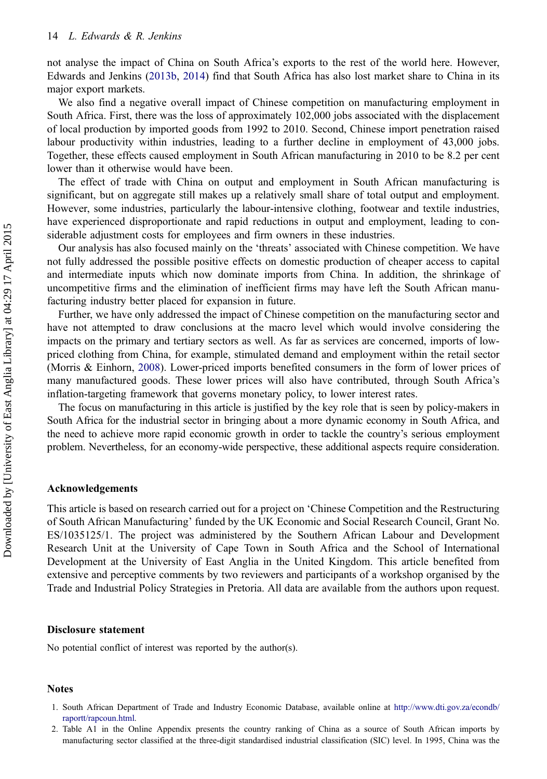<span id="page-15-0"></span>not analyse the impact of China on South Africa's exports to the rest of the world here. However, Edwards and Jenkins [\(2013b](#page-17-0), [2014](#page-17-0)) find that South Africa has also lost market share to China in its major export markets.

We also find a negative overall impact of Chinese competition on manufacturing employment in South Africa. First, there was the loss of approximately 102,000 jobs associated with the displacement of local production by imported goods from 1992 to 2010. Second, Chinese import penetration raised labour productivity within industries, leading to a further decline in employment of 43,000 jobs. Together, these effects caused employment in South African manufacturing in 2010 to be 8.2 per cent lower than it otherwise would have been.

The effect of trade with China on output and employment in South African manufacturing is significant, but on aggregate still makes up a relatively small share of total output and employment. However, some industries, particularly the labour-intensive clothing, footwear and textile industries, have experienced disproportionate and rapid reductions in output and employment, leading to considerable adjustment costs for employees and firm owners in these industries.

Our analysis has also focused mainly on the 'threats' associated with Chinese competition. We have not fully addressed the possible positive effects on domestic production of cheaper access to capital and intermediate inputs which now dominate imports from China. In addition, the shrinkage of uncompetitive firms and the elimination of inefficient firms may have left the South African manufacturing industry better placed for expansion in future.

Further, we have only addressed the impact of Chinese competition on the manufacturing sector and have not attempted to draw conclusions at the macro level which would involve considering the impacts on the primary and tertiary sectors as well. As far as services are concerned, imports of lowpriced clothing from China, for example, stimulated demand and employment within the retail sector (Morris & Einhorn, [2008\)](#page-17-0). Lower-priced imports benefited consumers in the form of lower prices of many manufactured goods. These lower prices will also have contributed, through South Africa's inflation-targeting framework that governs monetary policy, to lower interest rates.

The focus on manufacturing in this article is justified by the key role that is seen by policy-makers in South Africa for the industrial sector in bringing about a more dynamic economy in South Africa, and the need to achieve more rapid economic growth in order to tackle the country's serious employment problem. Nevertheless, for an economy-wide perspective, these additional aspects require consideration.

# Acknowledgements

This article is based on research carried out for a project on 'Chinese Competition and the Restructuring of South African Manufacturing' funded by the UK Economic and Social Research Council, Grant No. ES/1035125/1. The project was administered by the Southern African Labour and Development Research Unit at the University of Cape Town in South Africa and the School of International Development at the University of East Anglia in the United Kingdom. This article benefited from extensive and perceptive comments by two reviewers and participants of a workshop organised by the Trade and Industrial Policy Strategies in Pretoria. All data are available from the authors upon request.

### Disclosure statement

No potential conflict of interest was reported by the author(s).

#### Notes

<sup>1.</sup> South African Department of Trade and Industry Economic Database, available online at [http://www.dti.gov.za/econdb/](http://www.dti.gov.za/econdb/raportt/rapcoun.html) [raportt/rapcoun.html](http://www.dti.gov.za/econdb/raportt/rapcoun.html).

<sup>2.</sup> Table A1 in the Online Appendix presents the country ranking of China as a source of South African imports by manufacturing sector classified at the three-digit standardised industrial classification (SIC) level. In 1995, China was the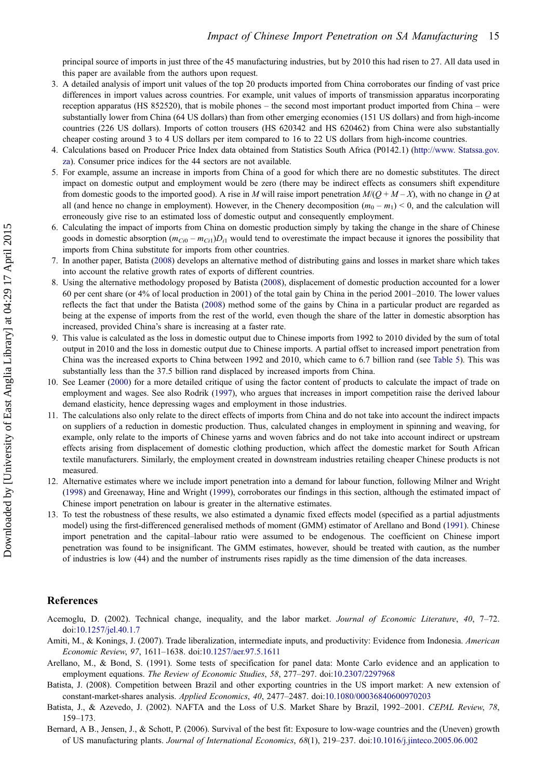<span id="page-16-0"></span>principal source of imports in just three of the 45 manufacturing industries, but by 2010 this had risen to 27. All data used in this paper are available from the authors upon request.

- 3. A detailed analysis of import unit values of the top 20 products imported from China corroborates our finding of vast price differences in import values across countries. For example, unit values of imports of transmission apparatus incorporating reception apparatus (HS 852520), that is mobile phones – the second most important product imported from China – were substantially lower from China (64 US dollars) than from other emerging economies (151 US dollars) and from high-income countries (226 US dollars). Imports of cotton trousers (HS 620342 and HS 620462) from China were also substantially cheaper costing around 3 to 4 US dollars per item compared to 16 to 22 US dollars from high-income countries.
- 4. Calculations based on Producer Price Index data obtained from Statistics South Africa (P0142.1) ([http://www. Statssa.gov.](http://www.%A0Statssa.gov.za) [za](http://www.%A0Statssa.gov.za)). Consumer price indices for the 44 sectors are not available.
- 5. For example, assume an increase in imports from China of a good for which there are no domestic substitutes. The direct impact on domestic output and employment would be zero (there may be indirect effects as consumers shift expenditure from domestic goods to the imported good). A rise in M will raise import penetration  $M/(Q + M - X)$ , with no change in Q at all (and hence no change in employment). However, in the Chenery decomposition  $(m_0 - m_1) < 0$ , and the calculation will erroneously give rise to an estimated loss of domestic output and consequently employment.
- 6. Calculating the impact of imports from China on domestic production simply by taking the change in the share of Chinese goods in domestic absorption  $(m_{Ci0} - m_{Ci1})D_{i1}$  would tend to overestimate the impact because it ignores the possibility that imports from China substitute for imports from other countries.
- 7. In another paper, Batista (2008) develops an alternative method of distributing gains and losses in market share which takes into account the relative growth rates of exports of different countries.
- 8. Using the alternative methodology proposed by Batista (2008), displacement of domestic production accounted for a lower 60 per cent share (or 4% of local production in 2001) of the total gain by China in the period 2001–2010. The lower values reflects the fact that under the Batista (2008) method some of the gains by China in a particular product are regarded as being at the expense of imports from the rest of the world, even though the share of the latter in domestic absorption has increased, provided China's share is increasing at a faster rate.
- 9. This value is calculated as the loss in domestic output due to Chinese imports from 1992 to 2010 divided by the sum of total output in 2010 and the loss in domestic output due to Chinese imports. A partial offset to increased import penetration from China was the increased exports to China between 1992 and 2010, which came to 6.7 billion rand (see [Table 5\)](#page-10-0). This was substantially less than the 37.5 billion rand displaced by increased imports from China.
- 10. See Leamer ([2000\)](#page-17-0) for a more detailed critique of using the factor content of products to calculate the impact of trade on employment and wages. See also Rodrik ([1997](#page-18-0)), who argues that increases in import competition raise the derived labour demand elasticity, hence depressing wages and employment in those industries.
- 11. The calculations also only relate to the direct effects of imports from China and do not take into account the indirect impacts on suppliers of a reduction in domestic production. Thus, calculated changes in employment in spinning and weaving, for example, only relate to the imports of Chinese yarns and woven fabrics and do not take into account indirect or upstream effects arising from displacement of domestic clothing production, which affect the domestic market for South African textile manufacturers. Similarly, the employment created in downstream industries retailing cheaper Chinese products is not measured.
- 12. Alternative estimates where we include import penetration into a demand for labour function, following Milner and Wright [\(1998\)](#page-17-0) and Greenaway, Hine and Wright ([1999\)](#page-17-0), corroborates our findings in this section, although the estimated impact of Chinese import penetration on labour is greater in the alternative estimates.
- 13. To test the robustness of these results, we also estimated a dynamic fixed effects model (specified as a partial adjustments model) using the first-differenced generalised methods of moment (GMM) estimator of Arellano and Bond (1991). Chinese import penetration and the capital–labour ratio were assumed to be endogenous. The coefficient on Chinese import penetration was found to be insignificant. The GMM estimates, however, should be treated with caution, as the number of industries is low (44) and the number of instruments rises rapidly as the time dimension of the data increases.

#### **References**

- Acemoglu, D. (2002). Technical change, inequality, and the labor market. Journal of Economic Literature, 40, 7-72. doi:[10.1257/jel.40.1.7](http://dx.doi.org/10.1257/jel.40.1.7)
- Amiti, M., & Konings, J. (2007). Trade liberalization, intermediate inputs, and productivity: Evidence from Indonesia. American Economic Review, 97, 1611–1638. doi:[10.1257/aer.97.5.1611](http://dx.doi.org/10.1257/aer.97.5.1611)
- Arellano, M., & Bond, S. (1991). Some tests of specification for panel data: Monte Carlo evidence and an application to employment equations. The Review of Economic Studies, 58, 277-297. doi:[10.2307/2297968](http://dx.doi.org/10.2307/2297968)
- Batista, J. (2008). Competition between Brazil and other exporting countries in the US import market: A new extension of constant-market-shares analysis. Applied Economics, 40, 2477–2487. doi:[10.1080/00036840600970203](http://dx.doi.org/10.1080/00036840600970203)
- Batista, J., & Azevedo, J. (2002). NAFTA and the Loss of U.S. Market Share by Brazil, 1992–2001. CEPAL Review, 78, 159–173.
- Bernard, A B., Jensen, J., & Schott, P. (2006). Survival of the best fit: Exposure to low-wage countries and the (Uneven) growth of US manufacturing plants. Journal of International Economics, 68(1), 219–237. doi:[10.1016/j.jinteco.2005.06.002](http://dx.doi.org/10.1016/j.jinteco.2005.06.002)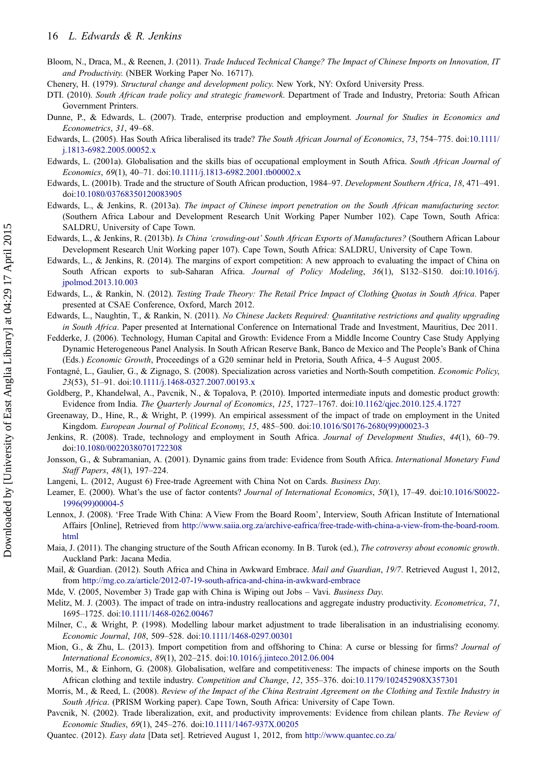- <span id="page-17-0"></span>Bloom, N., Draca, M., & Reenen, J. (2011). Trade Induced Technical Change? The Impact of Chinese Imports on Innovation, IT and Productivity. (NBER Working Paper No. 16717).
- Chenery, H. (1979). Structural change and development policy. New York, NY: Oxford University Press.
- DTI. (2010). South African trade policy and strategic framework. Department of Trade and Industry, Pretoria: South African Government Printers.
- Dunne, P., & Edwards, L. (2007). Trade, enterprise production and employment. Journal for Studies in Economics and Econometrics, 31, 49–68.
- Edwards, L. (2005). Has South Africa liberalised its trade? The South African Journal of Economics, 73, 754–775. doi:[10.1111/](http://dx.doi.org/10.1111/j.1813-6982.2005.00052.x) [j.1813-6982.2005.00052.x](http://dx.doi.org/10.1111/j.1813-6982.2005.00052.x)
- Edwards, L. (2001a). Globalisation and the skills bias of occupational employment in South Africa. South African Journal of Economics, 69(1), 40–71. doi:[10.1111/j.1813-6982.2001.tb00002.x](http://dx.doi.org/10.1111/j.1813-6982.2001.tb00002.x)
- Edwards, L. (2001b). Trade and the structure of South African production, 1984–97. Development Southern Africa, 18, 471–491. doi:[10.1080/03768350120083905](http://dx.doi.org/10.1080/03768350120083905)
- Edwards, L., & Jenkins, R. (2013a). The impact of Chinese import penetration on the South African manufacturing sector. (Southern Africa Labour and Development Research Unit Working Paper Number 102). Cape Town, South Africa: SALDRU, University of Cape Town.
- Edwards, L., & Jenkins, R. (2013b). Is China 'crowding-out' South African Exports of Manufactures? (Southern African Labour Development Research Unit Working paper 107). Cape Town, South Africa: SALDRU, University of Cape Town.
- Edwards, L., & Jenkins, R. (2014). The margins of export competition: A new approach to evaluating the impact of China on South African exports to sub-Saharan Africa. Journal of Policy Modeling, 36(1), S132–S150. doi:[10.1016/j.](http://dx.doi.org/10.1016/j.jpolmod.2013.10.003) [jpolmod.2013.10.003](http://dx.doi.org/10.1016/j.jpolmod.2013.10.003)
- Edwards, L., & Rankin, N. (2012). Testing Trade Theory: The Retail Price Impact of Clothing Quotas in South Africa. Paper presented at CSAE Conference, Oxford, March 2012.
- Edwards, L., Naughtin, T., & Rankin, N. (2011). No Chinese Jackets Required: Quantitative restrictions and quality upgrading in South Africa. Paper presented at International Conference on International Trade and Investment, Mauritius, Dec 2011.
- Fedderke, J. (2006). Technology, Human Capital and Growth: Evidence From a Middle Income Country Case Study Applying Dynamic Heterogeneous Panel Analysis. In South African Reserve Bank, Banco de Mexico and The People's Bank of China (Eds.) Economic Growth, Proceedings of a G20 seminar held in Pretoria, South Africa, 4–5 August 2005.
- Fontagné, L., Gaulier, G., & Zignago, S. (2008). Specialization across varieties and North-South competition. Economic Policy, 23(53), 51–91. doi:[10.1111/j.1468-0327.2007.00193.x](http://dx.doi.org/10.1111/j.1468-0327.2007.00193.x)
- Goldberg, P., Khandelwal, A., Pavcnik, N., & Topalova, P. (2010). Imported intermediate inputs and domestic product growth: Evidence from India. The Quarterly Journal of Economics, 125, 1727–1767. doi:[10.1162/qjec.2010.125.4.1727](http://dx.doi.org/10.1162/qjec.2010.125.4.1727)
- Greenaway, D., Hine, R., & Wright, P. (1999). An empirical assessment of the impact of trade on employment in the United Kingdom. European Journal of Political Economy, 15, 485–500. doi:[10.1016/S0176-2680\(99\)00023-3](http://dx.doi.org/10.1016/S0176-2680(99)00023-3)
- Jenkins, R. (2008). Trade, technology and employment in South Africa. Journal of Development Studies, 44(1), 60-79. doi:[10.1080/00220380701722308](http://dx.doi.org/10.1080/00220380701722308)
- Jonsson, G., & Subramanian, A. (2001). Dynamic gains from trade: Evidence from South Africa. International Monetary Fund Staff Papers, 48(1), 197–224.
- Langeni, L. (2012, August 6) Free-trade Agreement with China Not on Cards. Business Day.
- Leamer, E. (2000). What's the use of factor contents? Journal of International Economics, 50(1), 17-49. doi:[10.1016/S0022-](http://dx.doi.org/10.1016/S0022-1996(99)00004-5) [1996\(99\)00004-5](http://dx.doi.org/10.1016/S0022-1996(99)00004-5)
- Lennox, J. (2008). 'Free Trade With China: A View From the Board Room', Interview, South African Institute of International Affairs [Online], Retrieved from [http://www.saiia.org.za/archive-eafrica/free-trade-with-china-a-view-from-the-board-room.](http://www.saiia.org.za/archive-eafrica/free-trade-with-china-a-view-from-the-board-room.html) [html](http://www.saiia.org.za/archive-eafrica/free-trade-with-china-a-view-from-the-board-room.html)
- Maia, J. (2011). The changing structure of the South African economy. In B. Turok (ed.), The cotroversy about economic growth. Auckland Park: Jacana Media.
- Mail, & Guardian. (2012). South Africa and China in Awkward Embrace. Mail and Guardian, 19/7. Retrieved August 1, 2012, from <http://mg.co.za/article/2012-07-19-south-africa-and-china-in-awkward-embrace>
- Mde, V. (2005, November 3) Trade gap with China is Wiping out Jobs Vavi. Business Day.
- Melitz, M. J. (2003). The impact of trade on intra-industry reallocations and aggregate industry productivity. Econometrica, 71, 1695–1725. doi:[10.1111/1468-0262.00467](http://dx.doi.org/10.1111/1468-0262.00467)
- Milner, C., & Wright, P. (1998). Modelling labour market adjustment to trade liberalisation in an industrialising economy. Economic Journal, 108, 509–528. doi:[10.1111/1468-0297.00301](http://dx.doi.org/10.1111/1468-0297.00301)
- Mion, G., & Zhu, L. (2013). Import competition from and offshoring to China: A curse or blessing for firms? Journal of International Economics, 89(1), 202–215. doi:[10.1016/j.jinteco.2012.06.004](http://dx.doi.org/10.1016/j.jinteco.2012.06.004)
- Morris, M., & Einhorn, G. (2008). Globalisation, welfare and competitiveness: The impacts of chinese imports on the South African clothing and textile industry. Competition and Change, 12, 355–376. doi:[10.1179/102452908X357301](http://dx.doi.org/10.1179/102452908X357301)
- Morris, M., & Reed, L. (2008). Review of the Impact of the China Restraint Agreement on the Clothing and Textile Industry in South Africa. (PRISM Working paper). Cape Town, South Africa: University of Cape Town.
- Pavcnik, N. (2002). Trade liberalization, exit, and productivity improvements: Evidence from chilean plants. The Review of Economic Studies, 69(1), 245–276. doi:[10.1111/1467-937X.00205](http://dx.doi.org/10.1111/1467-937X.00205)
- Quantec. (2012). Easy data [Data set]. Retrieved August 1, 2012, from <http://www.quantec.co.za/>